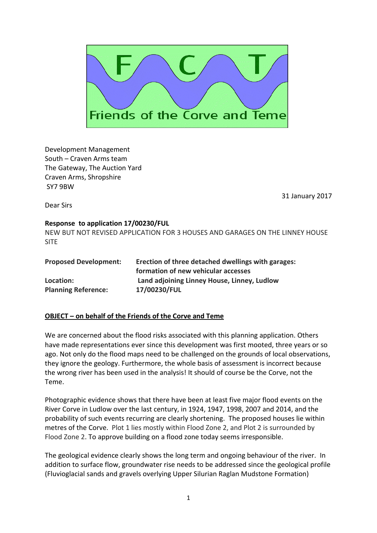

Development Management South – Craven Arms team The Gateway, The Auction Yard Craven Arms, Shropshire SY7 9BW

31 January 2017

Dear Sirs

## **Response to application 17/00230/FUL**

NEW BUT NOT REVISED APPLICATION FOR 3 HOUSES AND GARAGES ON THE LINNEY HOUSE SITE

| <b>Proposed Development:</b> | Erection of three detached dwellings with garages: |
|------------------------------|----------------------------------------------------|
|                              | formation of new vehicular accesses                |
| Location:                    | Land adjoining Linney House, Linney, Ludlow        |
| <b>Planning Reference:</b>   | 17/00230/FUL                                       |

## **OBJECT – on behalf of the Friends of the Corve and Teme**

We are concerned about the flood risks associated with this planning application. Others have made representations ever since this development was first mooted, three years or so ago. Not only do the flood maps need to be challenged on the grounds of local observations, they ignore the geology. Furthermore, the whole basis of assessment is incorrect because the wrong river has been used in the analysis! It should of course be the Corve, not the Teme.

Photographic evidence shows that there have been at least five major flood events on the River Corve in Ludlow over the last century, in 1924, 1947, 1998, 2007 and 2014, and the probability of such events recurring are clearly shortening. The proposed houses lie within metres of the Corve. Plot 1 lies mostly within Flood Zone 2, and Plot 2 is surrounded by Flood Zone 2. To approve building on a flood zone today seems irresponsible.

The geological evidence clearly shows the long term and ongoing behaviour of the river. In addition to surface flow, groundwater rise needs to be addressed since the geological profile (Fluvioglacial sands and gravels overlying Upper Silurian Raglan Mudstone Formation)